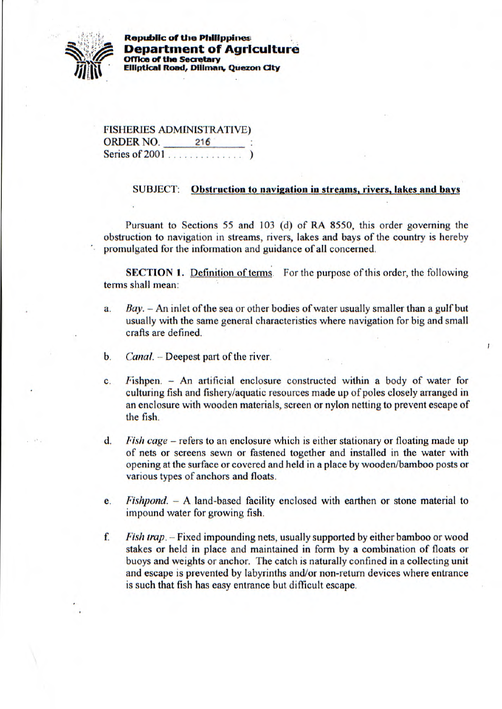

**Republic of the Philippines Department of Agricu Offica of the Secretary Elliptical Road, Diliman, Quezon City** 

|                  | <b>FISHERIES ADMINISTRATIVE)</b> |  |
|------------------|----------------------------------|--|
| <b>ORDER NO.</b> | 216                              |  |
| Series of 2001   |                                  |  |

## **SUBJECT:** Obstruction to navigation in streams, rivers, lakes and bays

Pursuant to Sections *55* and 103 (d) of RA *8550,* this order governing the obstruction to navigation in streams, rivers, lakes and bays of the country is hereby promulgated for the information and guidance of all concerned.

**SECTION 1.** Definition of terms. For the purpose of this order, the following terms shall mean:

- *a. Bay.* An inlet of the sea or other bodies of water usually smaller than a gulf but usually with the same general characteristics where navigation for big and small crafts are defined.
- **b.** *Canal.* Deepest part of the river.
- c. Fishpen. An artificial enclosure constructed within a body of water for culturing fish and fishery/aquatic resources made up of poles closely arranged in an enclosure with wooden materials, screen or nylon netting to prevent escape of the fish.
- *d. Fish cage* refers to an enclosure which is either stationary or floating made up of nets or screens sewn or fastened together and installed in the water with opening at the surface or covered and held in a place by wooden/bamboo posts or various types of anchors and floats.
- *e. Fishpond.* A land-based facility enclosed with earthen or stone material to impound water for growing fish,
- *£ Fish trap.*  Fixed impounding nets, usually supported by either bamboo or wood stakes or held in place and maintained in form by a combination of floats or buoys and weights or anchor. The catch is naturally confined in a collecting unit and escape is prevented by labyrinths and/or non-return devices where entrance is such that fish has easy entrance but difficult escape.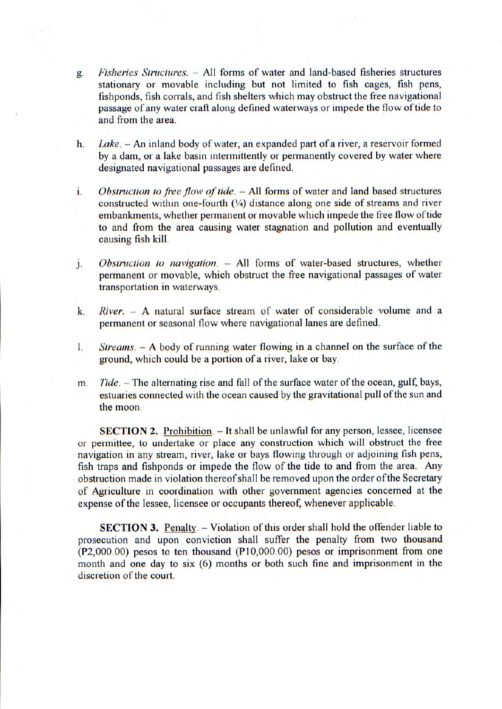- *g. Fisheries Structures.* All forms of water and land-based fisheries structures stationary or movable including but not limited to fish cages, fish pens, fishponds, fish corrals, and fish shelters which may obstruct the free navigational passage of any water craft along defined waterways or impede the flow of tide to and from the area.
- *h. Lake.* An inland body of water, an expanded part of a river, a reservoir formed by a dam, or a lake basin intermittently or permanently covered by water where designated navigational passages are defined.
- i. *Obstruction to free flow of tide.* - All forms of water and land based structures constructed within one-fourth (¼) distance along one side of streams and river embankments, whether permanent or movable which impede the free flow of tide to and from the area causing water stagnation and pollution and eventually causing fish kill.
- *Obstruction to navigation.* All forms of water-based structures, whether j. permanent or movable, which obstruct the free navigational passages of water transportation in waterways.
- k. *River. A* natural surface stream of water of considerable volume and a permanent or seasonal flow where navigational lanes are defined.
- *Streams. A* body of running water flowing in a channel on the surface of the  $\mathbf{I}$ . ground, which could be a portion of a river, lake or bay.
- m. *Tide.* The alternating rise and fall of the surface water of the ocean, gulf, bays, estuaries connected with the ocean caused by the gravitational pull of the sun and the moon.

SECTION 2. Prohibition. - It shall be unlawful for any person, lessee, licensee or permittee, to undertake or place any construction which will obstruct the free navigation in any stream, river, lake or bays flowing through or adjoining fish pens, fish traps and fishponds or impede the flow of the tide to and from the area. Any obstruction made in violation thereof shall be removed upon the order of the Secretary of Agriculture in coordination with other government agencies concerned at the expense of the lessee, licensee or occupants thereof, whenever applicable.

SECTION 3. Penalty. - Violation of this order shall hold the offender liable to prosecution and upon conviction shall suffer the penalty from two thousand (P2,000.00) pesos to ten thousand (P10,000.00) pesos or imprisonment from one month and one day to six (6) months or both such fine and imprisonment in the discretion of the court.